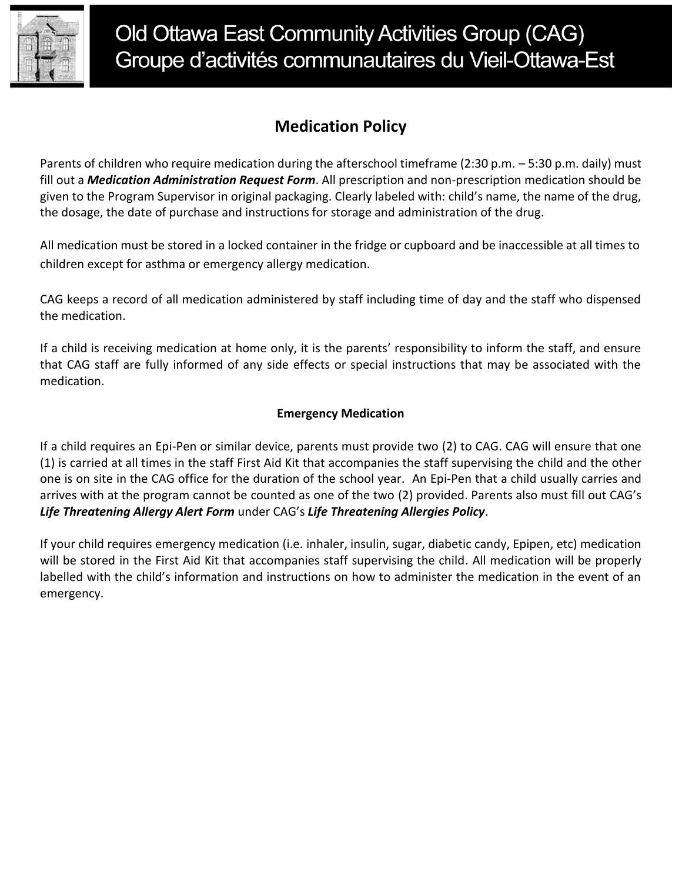

## **Medication Policy**

Parents of children who require medication during the afterschool timeframe (2:30 p.m. – 5:30 p.m. daily) must fill out a *Medication Administration Request Form*. All prescription and non-prescription medication should be given to the Program Supervisor in original packaging. Clearly labeled with: child's name, the name of the drug, the dosage, the date of purchase and instructions for storage and administration of the drug.

All medication must be stored in a locked container in the fridge or cupboard and be inaccessible at all times to children except for asthma or emergency allergy medication.

CAG keeps a record of all medication administered by staff including time of day and the staff who dispensed the medication.

If a child is receiving medication at home only, it is the parents' responsibility to inform the staff, and ensure that CAG staff are fully informed of any side effects or special instructions that may be associated with the medication.

### **Emergency Medication**

If a child requires an Epi-Pen or similar device, parents must provide two (2) to CAG. CAG will ensure that one (1) is carried at all times in the staff First Aid Kit that accompanies the staff supervising the child and the other one is on site in the CAG office for the duration of the school year. An Epi-Pen that a child usually carries and arrives with at the program cannot be counted as one of the two (2) provided. Parents also must fill out CAG's *Life Threatening Allergy Alert Form* under CAG's *Life Threatening Allergies Policy*.

If your child requires emergency medication (i.e. inhaler, insulin, sugar, diabetic candy, Epipen, etc) medication will be stored in the First Aid Kit that accompanies staff supervising the child. All medication will be properly labelled with the child's information and instructions on how to administer the medication in the event of an emergency.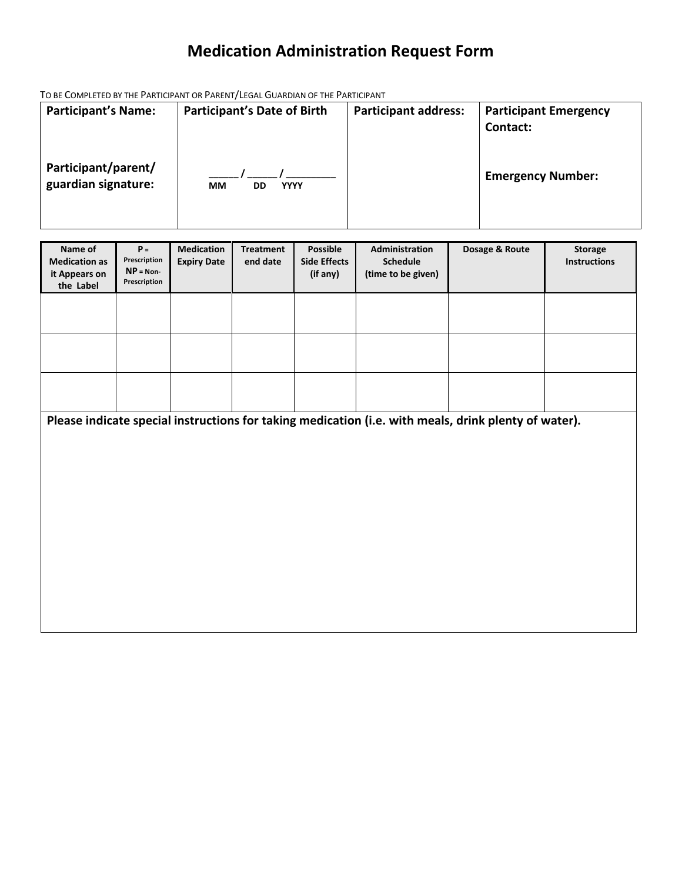# **Medication Administration Request Form**

TO BE COMPLETED BY THE PARTICIPANT OR PARENT/LEGAL GUARDIAN OF THE PARTICIPANT

| <b>Participant's Name:</b>                 | <b>Participant's Date of Birth</b> | <b>Participant address:</b> | <b>Participant Emergency</b> |
|--------------------------------------------|------------------------------------|-----------------------------|------------------------------|
|                                            |                                    |                             | Contact:                     |
|                                            |                                    |                             |                              |
| Participant/parent/<br>guardian signature: | MМ<br><b>YYYY</b><br>DD            |                             | <b>Emergency Number:</b>     |
|                                            |                                    |                             |                              |

| Name of<br><b>Medication as</b><br>it Appears on<br>the Label | $P =$<br>Prescription<br>$NP = Non-$<br>Prescription | <b>Medication</b><br><b>Expiry Date</b> | <b>Treatment</b><br>end date | <b>Possible</b><br><b>Side Effects</b><br>(if any) | Administration<br>Schedule<br>(time to be given) | Dosage & Route                                                                                       | <b>Storage</b><br><b>Instructions</b> |
|---------------------------------------------------------------|------------------------------------------------------|-----------------------------------------|------------------------------|----------------------------------------------------|--------------------------------------------------|------------------------------------------------------------------------------------------------------|---------------------------------------|
|                                                               |                                                      |                                         |                              |                                                    |                                                  |                                                                                                      |                                       |
|                                                               |                                                      |                                         |                              |                                                    |                                                  |                                                                                                      |                                       |
|                                                               |                                                      |                                         |                              |                                                    |                                                  |                                                                                                      |                                       |
|                                                               |                                                      |                                         |                              |                                                    |                                                  | Please indicate special instructions for taking medication (i.e. with meals, drink plenty of water). |                                       |
|                                                               |                                                      |                                         |                              |                                                    |                                                  |                                                                                                      |                                       |
|                                                               |                                                      |                                         |                              |                                                    |                                                  |                                                                                                      |                                       |
|                                                               |                                                      |                                         |                              |                                                    |                                                  |                                                                                                      |                                       |
|                                                               |                                                      |                                         |                              |                                                    |                                                  |                                                                                                      |                                       |
|                                                               |                                                      |                                         |                              |                                                    |                                                  |                                                                                                      |                                       |